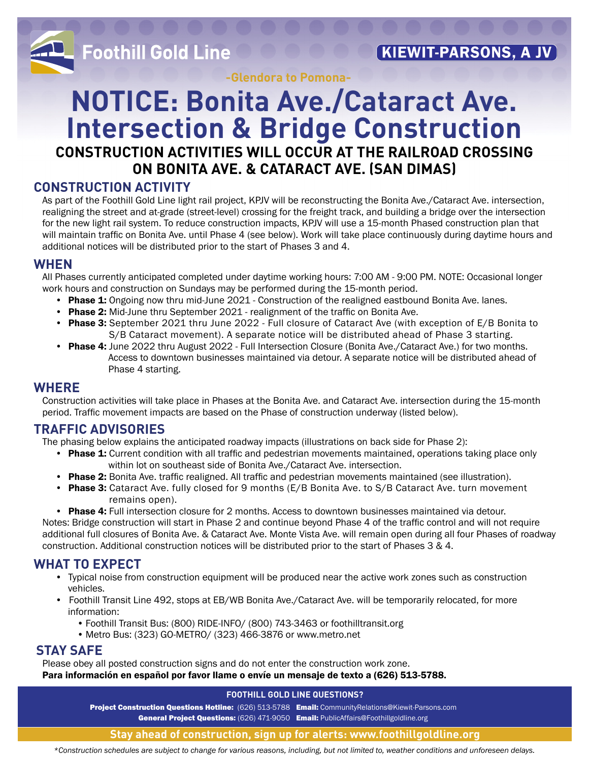

**-Glendora to Pomona-**

## **NOTICE: Bonita Ave./Cataract Ave. Intersection & Bridge Construction CONSTRUCTION ACTIVITIES WILL OCCUR AT THE RAILROAD CROSSING ON BONITA AVE. & CATARACT AVE. (SAN DIMAS)**

### **CONSTRUCTION ACTIVITY**

As part of the Foothill Gold Line light rail project, KPJV will be reconstructing the Bonita Ave./Cataract Ave. intersection, realigning the street and at-grade (street-level) crossing for the freight track, and building a bridge over the intersection for the new light rail system. To reduce construction impacts, KPJV will use a 15-month Phased construction plan that will maintain traffic on Bonita Ave. until Phase 4 (see below). Work will take place continuously during daytime hours and additional notices will be distributed prior to the start of Phases 3 and 4.

### **WHEN**

All Phases currently anticipated completed under daytime working hours: 7:00 AM - 9:00 PM. NOTE: Occasional longer work hours and construction on Sundays may be performed during the 15-month period.

- Phase 1: Ongoing now thru mid-June 2021 Construction of the realigned eastbound Bonita Ave. lanes.
- Phase 2: Mid-June thru September 2021 realignment of the traffic on Bonita Ave.
- Phase 3: September 2021 thru June 2022 Full closure of Cataract Ave (with exception of E/B Bonita to S/B Cataract movement). A separate notice will be distributed ahead of Phase 3 starting.
- Phase 4: June 2022 thru August 2022 Full Intersection Closure (Bonita Ave./Cataract Ave.) for two months. Access to downtown businesses maintained via detour. A separate notice will be distributed ahead of Phase 4 starting.

### **WHERE**

Construction activities will take place in Phases at the Bonita Ave. and Cataract Ave. intersection during the 15-month period. Traffic movement impacts are based on the Phase of construction underway (listed below).

### **TRAFFIC ADVISORIES**

The phasing below explains the anticipated roadway impacts (illustrations on back side for Phase 2):

- Phase 1: Current condition with all traffic and pedestrian movements maintained, operations taking place only within lot on southeast side of Bonita Ave./Cataract Ave. intersection.
- Phase 2: Bonita Ave. traffic realigned. All traffic and pedestrian movements maintained (see illustration).
- Phase 3: Cataract Ave. fully closed for 9 months (E/B Bonita Ave. to S/B Cataract Ave. turn movement remains open).
- Phase 4: Full intersection closure for 2 months. Access to downtown businesses maintained via detour.

Notes: Bridge construction will start in Phase 2 and continue beyond Phase 4 of the traffic control and will not require additional full closures of Bonita Ave. & Cataract Ave. Monte Vista Ave. will remain open during all four Phases of roadway construction. Additional construction notices will be distributed prior to the start of Phases 3 & 4.

### **WHAT TO EXPECT**

- Typical noise from construction equipment will be produced near the active work zones such as construction vehicles.
- Foothill Transit Line 492, stops at EB/WB Bonita Ave./Cataract Ave. will be temporarily relocated, for more information:
	- Foothill Transit Bus: (800) RIDE-INFO/ (800) 743-3463 or foothilltransit.org
	- Metro Bus: (323) GO-METRO/ (323) 466-3876 or www.metro.net

### **STAY SAFE**

Please obey all posted construction signs and do not enter the construction work zone.

Para información en español por favor llame o envíe un mensaje de texto a (626) 513-5788.

### **FOOTHILL GOLD LINE QUESTIONS?**

Project Construction Questions Hotline: (626) 513-5788 Email: CommunityRelations@Kiewit-Parsons.com General Project Questions: (626) 471-9050 Email: PublicAffairs@Foothillgoldline.org

### **Stay ahead of construction, sign up for alerts: www.foothillgoldline.org**

*\*Construction schedules are subject to change for various reasons, including, but not limited to, weather conditions and unforeseen delays.*